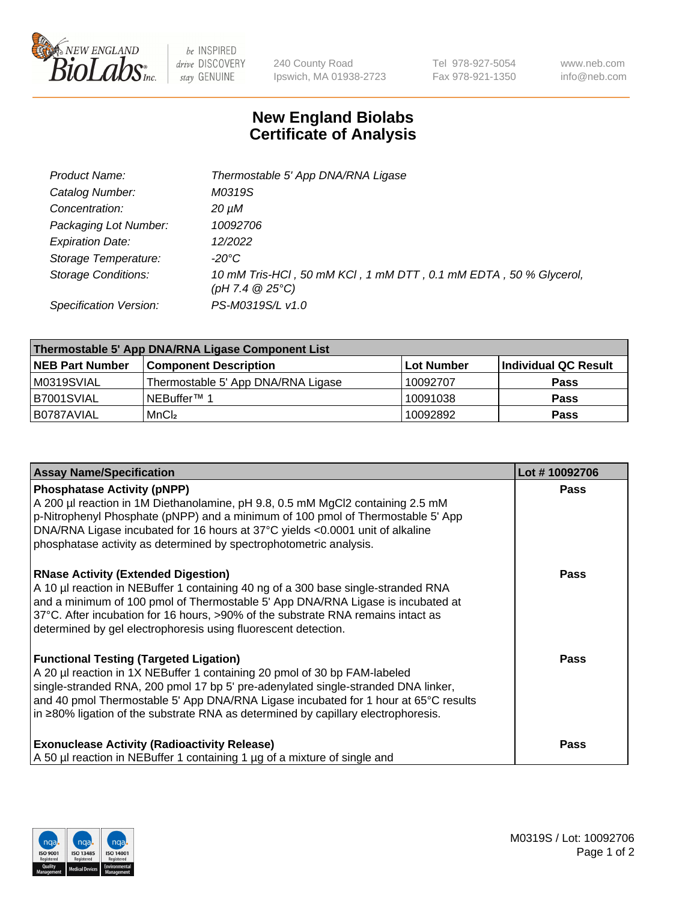

 $be$  INSPIRED drive DISCOVERY stay GENUINE

240 County Road Ipswich, MA 01938-2723 Tel 978-927-5054 Fax 978-921-1350 www.neb.com info@neb.com

## **New England Biolabs Certificate of Analysis**

| Product Name:              | Thermostable 5' App DNA/RNA Ligase                                                    |
|----------------------------|---------------------------------------------------------------------------------------|
| Catalog Number:            | M0319S                                                                                |
| Concentration:             | 20 µM                                                                                 |
| Packaging Lot Number:      | 10092706                                                                              |
| <b>Expiration Date:</b>    | 12/2022                                                                               |
| Storage Temperature:       | $-20^{\circ}$ C                                                                       |
| <b>Storage Conditions:</b> | 10 mM Tris-HCl, 50 mM KCl, 1 mM DTT, 0.1 mM EDTA, 50 % Glycerol,<br>(pH 7.4 $@25°C$ ) |
| Specification Version:     | PS-M0319S/L v1.0                                                                      |

| Thermostable 5' App DNA/RNA Ligase Component List |                                    |            |                      |  |
|---------------------------------------------------|------------------------------------|------------|----------------------|--|
| <b>NEB Part Number</b>                            | <b>Component Description</b>       | Lot Number | Individual QC Result |  |
| IM0319SVIAL                                       | Thermostable 5' App DNA/RNA Ligase | 10092707   | <b>Pass</b>          |  |
| B7001SVIAL                                        | 'NEBuffer™ 1                       | 10091038   | <b>Pass</b>          |  |
| IB0787AVIAL                                       | MnCl <sub>2</sub>                  | 10092892   | <b>Pass</b>          |  |

| <b>Assay Name/Specification</b>                                                                                                                                                                                                                                                                                                                                                             | Lot #10092706 |
|---------------------------------------------------------------------------------------------------------------------------------------------------------------------------------------------------------------------------------------------------------------------------------------------------------------------------------------------------------------------------------------------|---------------|
| <b>Phosphatase Activity (pNPP)</b><br>A 200 µl reaction in 1M Diethanolamine, pH 9.8, 0.5 mM MgCl2 containing 2.5 mM<br>p-Nitrophenyl Phosphate (pNPP) and a minimum of 100 pmol of Thermostable 5' App<br>DNA/RNA Ligase incubated for 16 hours at 37°C yields <0.0001 unit of alkaline<br>phosphatase activity as determined by spectrophotometric analysis.                              | <b>Pass</b>   |
| <b>RNase Activity (Extended Digestion)</b><br>A 10 µl reaction in NEBuffer 1 containing 40 ng of a 300 base single-stranded RNA<br>and a minimum of 100 pmol of Thermostable 5' App DNA/RNA Ligase is incubated at<br>37°C. After incubation for 16 hours, >90% of the substrate RNA remains intact as<br>determined by gel electrophoresis using fluorescent detection.                    | <b>Pass</b>   |
| <b>Functional Testing (Targeted Ligation)</b><br>A 20 µl reaction in 1X NEBuffer 1 containing 20 pmol of 30 bp FAM-labeled<br>single-stranded RNA, 200 pmol 17 bp 5' pre-adenylated single-stranded DNA linker,<br>and 40 pmol Thermostable 5' App DNA/RNA Ligase incubated for 1 hour at 65°C results<br>in ≥80% ligation of the substrate RNA as determined by capillary electrophoresis. | Pass          |
| <b>Exonuclease Activity (Radioactivity Release)</b><br>A 50 µl reaction in NEBuffer 1 containing 1 µg of a mixture of single and                                                                                                                                                                                                                                                            | <b>Pass</b>   |